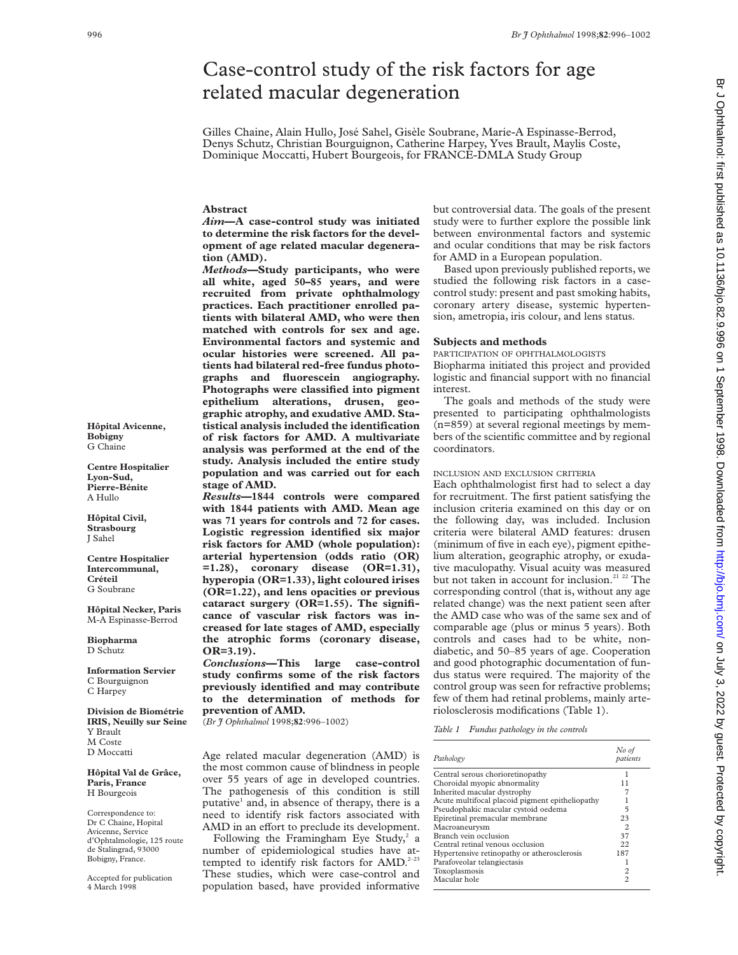# Case-control study of the risk factors for age related macular degeneration

Gilles Chaine, Alain Hullo, José Sahel, Gisèle Soubrane, Marie-A Espinasse-Berrod, Denys Schutz, Christian Bourguignon, Catherine Harpey, Yves Brault, Maylis Coste, Dominique Moccatti, Hubert Bourgeois, for FRANCE-DMLA Study Group

# **Abstract**

*Aim***—A case-control study was initiated to determine the risk factors for the development of age related macular degeneration (AMD).**

*Methods***—Study participants, who were all white, aged 50–85 years, and were recruited from private ophthalmology practices. Each practitioner enrolled patients with bilateral AMD, who were then matched with controls for sex and age. Environmental factors and systemic and ocular histories were screened. All patients had bilateral red-free fundus photographs and fluorescein angiography. Photographs were classified into pigment epithelium alterations, drusen, geographic atrophy, and exudative AMD. Statistical analysis included the identification of risk factors for AMD. A multivariate analysis was performed at the end of the study. Analysis included the entire study population and was carried out for each stage of AMD.**

*Results***—1844 controls were compared with 1844 patients with AMD. Mean age was 71 years for controls and 72 for cases. Logistic regression identified six major risk factors for AMD (whole population): arterial hypertension (odds ratio (OR) =1.28), coronary disease (OR=1.31), hyperopia (OR=1.33), light coloured irises (OR=1.22), and lens opacities or previous cataract surgery (OR=1.55). The significance of vascular risk factors was increased for late stages of AMD, especially the atrophic forms (coronary disease, OR=3.19).**

*Conclusions***—This large case-control study confirms some of the risk factors previously identified and may contribute to the determination of methods for prevention of AMD.**

(*Br J Ophthalmol* 1998;**82**:996–1002)

Age related macular degeneration (AMD) is the most common cause of blindness in people over 55 years of age in developed countries. The pathogenesis of this condition is still putative<sup>1</sup> and, in absence of therapy, there is a need to identify risk factors associated with AMD in an effort to preclude its development.

Following the Framingham Eye Study, $^2$  a number of epidemiological studies have attempted to identify risk factors for AMD.<sup>2-23</sup> These studies, which were case-control and population based, have provided informative

but controversial data. The goals of the present study were to further explore the possible link between environmental factors and systemic and ocular conditions that may be risk factors for AMD in a European population.

Based upon previously published reports, we studied the following risk factors in a casecontrol study: present and past smoking habits, coronary artery disease, systemic hypertension, ametropia, iris colour, and lens status.

#### **Subjects and methods**

PARTICIPATION OF OPHTHALMOLOGISTS Biopharma initiated this project and provided logistic and financial support with no financial interest.

The goals and methods of the study were presented to participating ophthalmologists (n=859) at several regional meetings by members of the scientific committee and by regional coordinators.

#### INCLUSION AND EXCLUSION CRITERIA

Each ophthalmologist first had to select a day for recruitment. The first patient satisfying the inclusion criteria examined on this day or on the following day, was included. Inclusion criteria were bilateral AMD features: drusen (minimum of five in each eye), pigment epithelium alteration, geographic atrophy, or exudative maculopathy. Visual acuity was measured but not taken in account for inclusion.<sup>21 22</sup> The corresponding control (that is, without any age related change) was the next patient seen after the AMD case who was of the same sex and of comparable age (plus or minus 5 years). Both controls and cases had to be white, nondiabetic, and 50–85 years of age. Cooperation and good photographic documentation of fundus status were required. The majority of the control group was seen for refractive problems; few of them had retinal problems, mainly arteriolosclerosis modifications (Table 1).

*Table 1 Fundus pathology in the controls*

| Pathology                                       | No of<br>patients |
|-------------------------------------------------|-------------------|
| Central serous chorioretinopathy                |                   |
| Choroidal myopic abnormality                    | 11                |
| Inherited macular dystrophy                     |                   |
| Acute multifocal placoid pigment epitheliopathy |                   |
| Pseudophakic macular cystoid oedema             | 5                 |
| Epiretinal premacular membrane                  | 23                |
| Macroaneurysm                                   | $\overline{2}$    |
| Branch vein occlusion                           | 37                |
| Central retinal venous occlusion                | 22                |
| Hypertensive retinopathy or atherosclerosis     | 187               |
| Parafoveolar telangiectasis                     |                   |
| Toxoplasmosis                                   | $\overline{c}$    |
| Macular hole                                    | $\mathfrak{D}$    |
|                                                 |                   |

**Hôpital Avicenne, Bobigny** G Chaine

**Centre Hospitalier Lyon-Sud, Pierre-Bénite** A Hullo

**Hôpital Civil, Strasbourg** J Sahel

**Centre Hospitalier Intercommunal, Créteil** G Soubrane

**Hôpital Necker, Paris** M-A Espinasse-Berrod

**Biopharma** D Schutz

**Information Servier** C Bourguignon C Harpey

**Division de Biométrie IRIS, Neuilly sur Seine** Y Brault M Coste D Moccatti

**Hôpital Val de Grâce, Paris, France** H Bourgeois

Correspondence to: Dr C Chaine, Hopital Avicenne, Service d'Ophtalmologie, 125 route de Stalingrad, 93000 Bobigny, France.

Accepted for publication 4 March 1998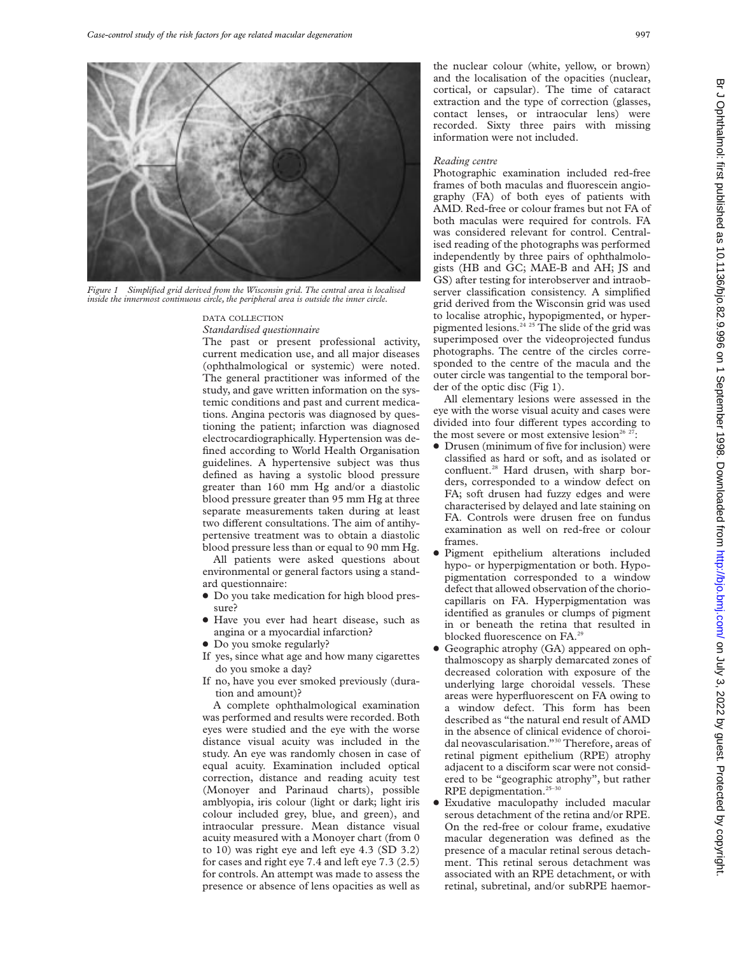

*Figure 1 Simplified grid derived from the Wisconsin grid. The central area is localised inside the innermost continuous circle, the peripheral area is outside the inner circle.*

# DATA COLLECTION

*Standardised questionnaire*

The past or present professional activity, current medication use, and all major diseases (ophthalmological or systemic) were noted. The general practitioner was informed of the study, and gave written information on the systemic conditions and past and current medications. Angina pectoris was diagnosed by questioning the patient; infarction was diagnosed electrocardiographically. Hypertension was defined according to World Health Organisation guidelines. A hypertensive subject was thus defined as having a systolic blood pressure greater than 160 mm Hg and/or a diastolic blood pressure greater than 95 mm Hg at three separate measurements taken during at least two different consultations. The aim of antihypertensive treatment was to obtain a diastolic blood pressure less than or equal to 90 mm Hg.

All patients were asked questions about environmental or general factors using a standard questionnaire:

- $\bullet$  Do you take medication for high blood pressure?
- $\bullet$  Have you ever had heart disease, such as angina or a myocardial infarction?
- Do you smoke regularly?
- If yes, since what age and how many cigarettes do you smoke a day?
- If no, have you ever smoked previously (duration and amount)?

A complete ophthalmological examination was performed and results were recorded. Both eyes were studied and the eye with the worse distance visual acuity was included in the study. An eye was randomly chosen in case of equal acuity. Examination included optical correction, distance and reading acuity test (Monoyer and Parinaud charts), possible amblyopia, iris colour (light or dark; light iris colour included grey, blue, and green), and intraocular pressure. Mean distance visual acuity measured with a Monoyer chart (from 0 to 10) was right eye and left eye 4.3 (SD 3.2) for cases and right eye 7.4 and left eye 7.3 (2.5) for controls. An attempt was made to assess the presence or absence of lens opacities as well as

#### *Reading centre*

Photographic examination included red-free frames of both maculas and fluorescein angiography (FA) of both eyes of patients with AMD. Red-free or colour frames but not FA of both maculas were required for controls. FA was considered relevant for control. Centralised reading of the photographs was performed independently by three pairs of ophthalmologists (HB and GC; MAE-B and AH; JS and GS) after testing for interobserver and intraobserver classification consistency. A simplified grid derived from the Wisconsin grid was used to localise atrophic, hypopigmented, or hyperpigmented lesions.<sup>24 25</sup> The slide of the grid was superimposed over the videoprojected fundus photographs. The centre of the circles corresponded to the centre of the macula and the outer circle was tangential to the temporal border of the optic disc (Fig 1).

All elementary lesions were assessed in the eye with the worse visual acuity and cases were divided into four different types according to the most severe or most extensive lesion<sup>26 27</sup>:

- Drusen (minimum of five for inclusion) were classified as hard or soft, and as isolated or confluent.<sup>28</sup> Hard drusen, with sharp borders, corresponded to a window defect on FA; soft drusen had fuzzy edges and were characterised by delayed and late staining on FA. Controls were drusen free on fundus examination as well on red-free or colour frames.
- x Pigment epithelium alterations included hypo- or hyperpigmentation or both. Hypopigmentation corresponded to a window defect that allowed observation of the choriocapillaris on FA. Hyperpigmentation was identified as granules or clumps of pigment in or beneath the retina that resulted in blocked fluorescence on FA.<sup>2</sup>
- Geographic atrophy (GA) appeared on ophthalmoscopy as sharply demarcated zones of decreased coloration with exposure of the underlying large choroidal vessels. These areas were hyperfluorescent on FA owing to a window defect. This form has been described as "the natural end result of AMD in the absence of clinical evidence of choroidal neovascularisation."30 Therefore, areas of retinal pigment epithelium (RPE) atrophy adjacent to a disciform scar were not considered to be "geographic atrophy", but rather RPE depigmentation.<sup>25-30</sup>
- $\bullet$  Exudative maculopathy included macular serous detachment of the retina and/or RPE. On the red-free or colour frame, exudative macular degeneration was defined as the presence of a macular retinal serous detachment. This retinal serous detachment was associated with an RPE detachment, or with retinal, subretinal, and/or subRPE haemor-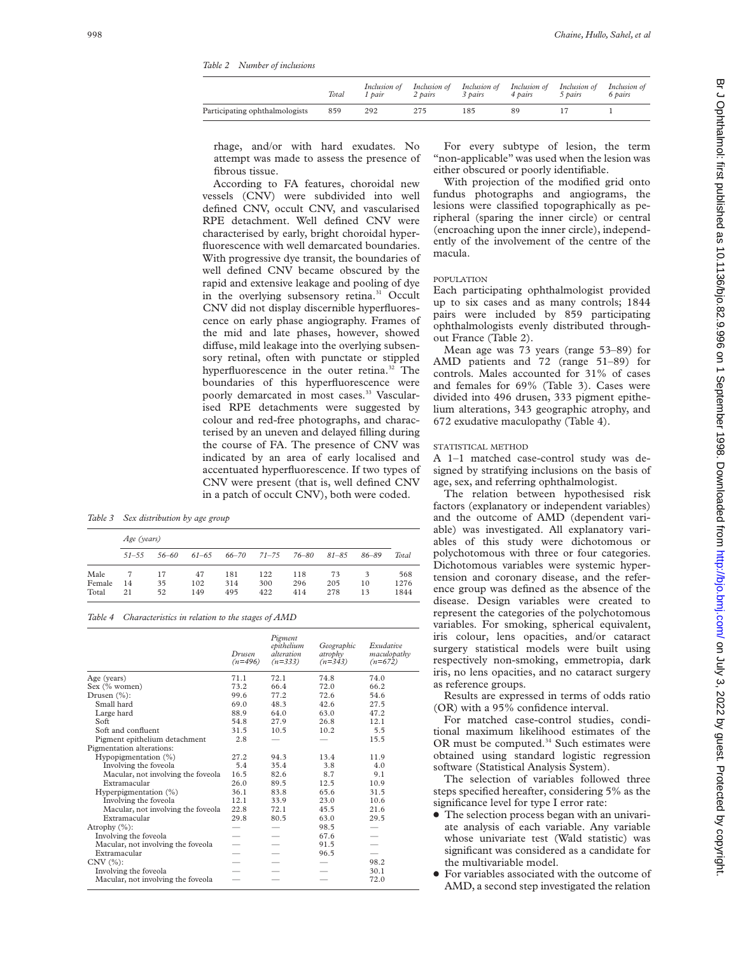*Table 2 Number of inclusions*

|                                | Total | Inclusion of<br>1 pair | Inclusion of<br>2 pairs | Inclusion of Inclusion of Inclusion of<br>3 pairs | 4 pairs | 5 pairs | Inclusion of<br>6 pairs |
|--------------------------------|-------|------------------------|-------------------------|---------------------------------------------------|---------|---------|-------------------------|
| Participating ophthalmologists | 859   | 292                    |                         |                                                   | R۹      |         |                         |

rhage, and/or with hard exudates. No attempt was made to assess the presence of fibrous tissue.

According to FA features, choroidal new vessels (CNV) were subdivided into well defined CNV, occult CNV, and vascularised RPE detachment. Well defined CNV were characterised by early, bright choroidal hyperfluorescence with well demarcated boundaries. With progressive dye transit, the boundaries of well defined CNV became obscured by the rapid and extensive leakage and pooling of dye in the overlying subsensory retina.<sup>31</sup> Occult CNV did not display discernible hyperfluorescence on early phase angiography. Frames of the mid and late phases, however, showed diffuse, mild leakage into the overlying subsensory retinal, often with punctate or stippled hyperfluorescence in the outer retina.<sup>32</sup> The boundaries of this hyperfluorescence were poorly demarcated in most cases.<sup>33</sup> Vascularised RPE detachments were suggested by colour and red-free photographs, and characterised by an uneven and delayed filling during the course of FA. The presence of CNV was indicated by an area of early localised and accentuated hyperfluorescence. If two types of CNV were present (that is, well defined CNV in a patch of occult CNV), both were coded.

*Table 3 Sex distribution by age group*

|        | Age (years) |       |           |       |           |       |           |           |       |
|--------|-------------|-------|-----------|-------|-----------|-------|-----------|-----------|-------|
|        | $51 - 55$   | 56-60 | $61 - 65$ | 66–70 | $71 - 75$ | 76–80 | $81 - 85$ | $86 - 89$ | Total |
| Male   |             | 17    | 47        | 181   | 122       | 118   | 73        | 3         | 568   |
| Female | 14          | 35    | 102       | 314   | 300       | 296   | 205       | 10        | 1276  |
| Total  | 21          | 52    | 149       | 495   | 422       | 414   | 278       | 13        | 1844  |

*Table 4 Characteristics in relation to the stages of AMD*

|                                    | Drusen<br>$(n=496)$ | Pigment<br>epithelium<br><i>alteration</i><br>$(n=333)$ | Geographic<br>atrophy<br>$(n=343)$ | Exudative<br>maculopathy<br>$(n=672)$ |
|------------------------------------|---------------------|---------------------------------------------------------|------------------------------------|---------------------------------------|
| Age (years)                        | 71.1                | 72.1                                                    | 74.8                               | 74.0                                  |
| Sex (% women)                      | 73.2                | 66.4                                                    | 72.0                               | 66.2                                  |
| Drusen $(\%):$                     | 99.6                | 77.2                                                    | 72.6                               | 54.6                                  |
| Small hard                         | 69.0                | 48.3                                                    | 42.6                               | 27.5                                  |
| Large hard                         | 88.9                | 64.0                                                    | 63.0                               | 47.2                                  |
| Soft                               | 54.8                | 27.9                                                    | 26.8                               | 12.1                                  |
| Soft and confluent                 | 31.5                | 10.5                                                    | 10.2                               | 5.5                                   |
| Pigment epithelium detachment      | 2.8                 |                                                         |                                    | 15.5                                  |
| Pigmentation alterations:          |                     |                                                         |                                    |                                       |
| Hypopigmentation (%)               | 27.2                | 94.3                                                    | 13.4                               | 11.9                                  |
| Involving the foveola              | 5.4                 | 35.4                                                    | 3.8                                | 4.0                                   |
| Macular, not involving the foveola | 16.5                | 82.6                                                    | 8.7                                | 9.1                                   |
| Extramacular                       | 26.0                | 89.5                                                    | 12.5                               | 10.9                                  |
| Hyperpigmentation $(\%)$           | 36.1                | 83.8                                                    | 65.6                               | 31.5                                  |
| Involving the foveola              | 12.1                | 33.9                                                    | 23.0                               | 10.6                                  |
| Macular, not involving the foveola | 22.8                | 72.1                                                    | 45.5                               | 21.6                                  |
| Extramacular                       | 29.8                | 80.5                                                    | 63.0                               | 29.5                                  |
| Atrophy $(\%):$                    |                     |                                                         | 98.5                               |                                       |
| Involving the foveola              |                     |                                                         | 67.6                               |                                       |
| Macular, not involving the foveola |                     |                                                         | 91.5                               |                                       |
| Extramacular                       |                     |                                                         | 96.5                               |                                       |
| $CNV(%)$ :                         |                     |                                                         |                                    | 98.2                                  |
| Involving the foveola              |                     |                                                         |                                    | 30.1                                  |
| Macular, not involving the foveola |                     |                                                         |                                    | 72.0                                  |

For every subtype of lesion, the term "non-applicable" was used when the lesion was either obscured or poorly identifiable.

With projection of the modified grid onto fundus photographs and angiograms, the lesions were classified topographically as peripheral (sparing the inner circle) or central (encroaching upon the inner circle), independently of the involvement of the centre of the macula.

#### POPULATION

Each participating ophthalmologist provided up to six cases and as many controls; 1844 pairs were included by 859 participating ophthalmologists evenly distributed throughout France (Table 2).

Mean age was 73 years (range 53–89) for AMD patients and 72 (range 51–89) for controls. Males accounted for 31% of cases and females for 69% (Table 3). Cases were divided into 496 drusen, 333 pigment epithelium alterations, 343 geographic atrophy, and 672 exudative maculopathy (Table 4).

## STATISTICAL METHOD

A 1–1 matched case-control study was designed by stratifying inclusions on the basis of age, sex, and referring ophthalmologist.

The relation between hypothesised risk factors (explanatory or independent variables) and the outcome of AMD (dependent variable) was investigated. All explanatory variables of this study were dichotomous or polychotomous with three or four categories. Dichotomous variables were systemic hypertension and coronary disease, and the reference group was defined as the absence of the disease. Design variables were created to represent the categories of the polychotomous variables. For smoking, spherical equivalent, iris colour, lens opacities, and/or cataract surgery statistical models were built using respectively non-smoking, emmetropia, dark iris, no lens opacities, and no cataract surgery as reference groups.

Results are expressed in terms of odds ratio (OR) with a 95% confidence interval.

For matched case-control studies, conditional maximum likelihood estimates of the OR must be computed.<sup>34</sup> Such estimates were obtained using standard logistic regression software (Statistical Analysis System).

The selection of variables followed three steps specified hereafter, considering 5% as the significance level for type I error rate:

- The selection process began with an univariate analysis of each variable. Any variable whose univariate test (Wald statistic) was significant was considered as a candidate for the multivariable model.
- For variables associated with the outcome of AMD, a second step investigated the relation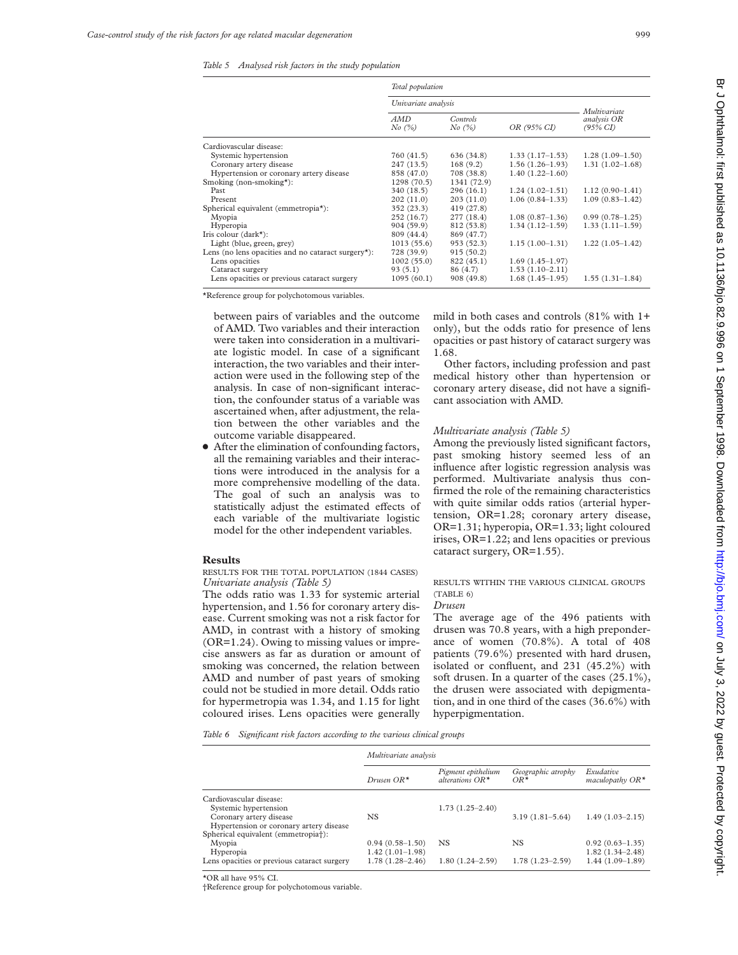|                                                    | Total population    |                                   |                     |                                                    |  |  |
|----------------------------------------------------|---------------------|-----------------------------------|---------------------|----------------------------------------------------|--|--|
|                                                    | Univariate analysis |                                   |                     |                                                    |  |  |
|                                                    | AMD<br>No (%)       | Controls<br>OR (95% CI)<br>No (%) |                     | Multivariate<br>analysis OR<br>$(95\% \text{ CI})$ |  |  |
| Cardiovascular disease:                            |                     |                                   |                     |                                                    |  |  |
| Systemic hypertension                              | 760 (41.5)          | 636 (34.8)                        | $1.33(1.17-1.53)$   | $1.28(1.09-1.50)$                                  |  |  |
| Coronary artery disease                            | 247 (13.5)          | 168(9.2)                          | $1.56(1.26-1.93)$   | $1.31(1.02 - 1.68)$                                |  |  |
| Hypertension or coronary artery disease            | 858 (47.0)          | 708 (38.8)                        | $1.40(1.22 - 1.60)$ |                                                    |  |  |
| Smoking (non-smoking*):                            | 1298(70.5)          | 1341 (72.9)                       |                     |                                                    |  |  |
| Past                                               | 340 (18.5)          | 296(16.1)                         | $1.24(1.02-1.51)$   | $1.12(0.90-1.41)$                                  |  |  |
| Present                                            | 202(11.0)           | 203(11.0)                         | $1.06(0.84-1.33)$   | $1.09(0.83 - 1.42)$                                |  |  |
| Spherical equivalent (emmetropia*):                | 352 (23.3)          | 419 (27.8)                        |                     |                                                    |  |  |
| Myopia                                             | 252 (16.7)          | 277 (18.4)                        | $1.08(0.87-1.36)$   | $0.99(0.78 - 1.25)$                                |  |  |
| Hyperopia                                          | 904 (59.9)          | 812 (53.8)                        | $1.34(1.12-1.59)$   | $1.33(1.11-1.59)$                                  |  |  |
| Iris colour $(dark^*)$ :                           | 809 (44.4)          | 869 (47.7)                        |                     |                                                    |  |  |
| Light (blue, green, grey)                          | 1013(55.6)          | 953 (52.3)                        | $1.15(1.00-1.31)$   | $1.22(1.05-1.42)$                                  |  |  |
| Lens (no lens opacities and no cataract surgery*): | 728 (39.9)          | 915(50.2)                         |                     |                                                    |  |  |
| Lens opacities                                     | 1002(55.0)          | 822 (45.1)                        | $1.69(1.45-1.97)$   |                                                    |  |  |
| Cataract surgery                                   | 93(5.1)             | 86 (4.7)                          | $1.53(1.10-2.11)$   |                                                    |  |  |
| Lens opacities or previous cataract surgery        | 1095(60.1)          | 908 (49.8)                        | $1.68(1.45-1.95)$   | $1.55(1.31-1.84)$                                  |  |  |

\*Reference group for polychotomous variables.

between pairs of variables and the outcome of AMD. Two variables and their interaction were taken into consideration in a multivariate logistic model. In case of a significant interaction, the two variables and their interaction were used in the following step of the analysis. In case of non-significant interaction, the confounder status of a variable was ascertained when, after adjustment, the relation between the other variables and the outcome variable disappeared.

 $\bullet$  After the elimination of confounding factors, all the remaining variables and their interactions were introduced in the analysis for a more comprehensive modelling of the data. The goal of such an analysis was to statistically adjust the estimated effects of each variable of the multivariate logistic model for the other independent variables.

#### **Results**

#### RESULTS FOR THE TOTAL POPULATION (1844 CASES) *Univariate analysis (Table 5)*

The odds ratio was 1.33 for systemic arterial hypertension, and 1.56 for coronary artery disease. Current smoking was not a risk factor for AMD, in contrast with a history of smoking (OR=1.24). Owing to missing values or imprecise answers as far as duration or amount of smoking was concerned, the relation between AMD and number of past years of smoking could not be studied in more detail. Odds ratio for hypermetropia was 1.34, and 1.15 for light coloured irises. Lens opacities were generally

mild in both cases and controls (81% with 1+ only), but the odds ratio for presence of lens opacities or past history of cataract surgery was 1.68.

Other factors, including profession and past medical history other than hypertension or coronary artery disease, did not have a significant association with AMD.

#### *Multivariate analysis (Table 5)*

Among the previously listed significant factors, past smoking history seemed less of an influence after logistic regression analysis was performed. Multivariate analysis thus confirmed the role of the remaining characteristics with quite similar odds ratios (arterial hypertension, OR=1.28; coronary artery disease, OR=1.31; hyperopia, OR=1.33; light coloured irises, OR=1.22; and lens opacities or previous cataract surgery, OR=1.55).

# RESULTS WITHIN THE VARIOUS CLINICAL GROUPS (TABLE 6)

#### *Drusen*

The average age of the 496 patients with drusen was 70.8 years, with a high preponderance of women (70.8%). A total of 408 patients (79.6%) presented with hard drusen, isolated or confluent, and 231 (45.2%) with soft drusen. In a quarter of the cases (25.1%), the drusen were associated with depigmentation, and in one third of the cases (36.6%) with hyperpigmentation.

*Table 6 Significant risk factors according to the various clinical groups*

| Multivariate analysis                                 |  |  |  |  |
|-------------------------------------------------------|--|--|--|--|
| Geographic atrophy<br>Exudative<br>maculopathy $OR^*$ |  |  |  |  |
|                                                       |  |  |  |  |
|                                                       |  |  |  |  |
| $3.19(1.81 - 5.64)$<br>$1.49(1.03 - 2.15)$            |  |  |  |  |
|                                                       |  |  |  |  |
| $0.92(0.63-1.35)$                                     |  |  |  |  |
| $1.82(1.34 - 2.48)$                                   |  |  |  |  |
| $1.44(1.09-1.89)$<br>$1.78(1.23 - 2.59)$              |  |  |  |  |
|                                                       |  |  |  |  |

\*OR all have 95% CI.

†Reference group for polychotomous variable.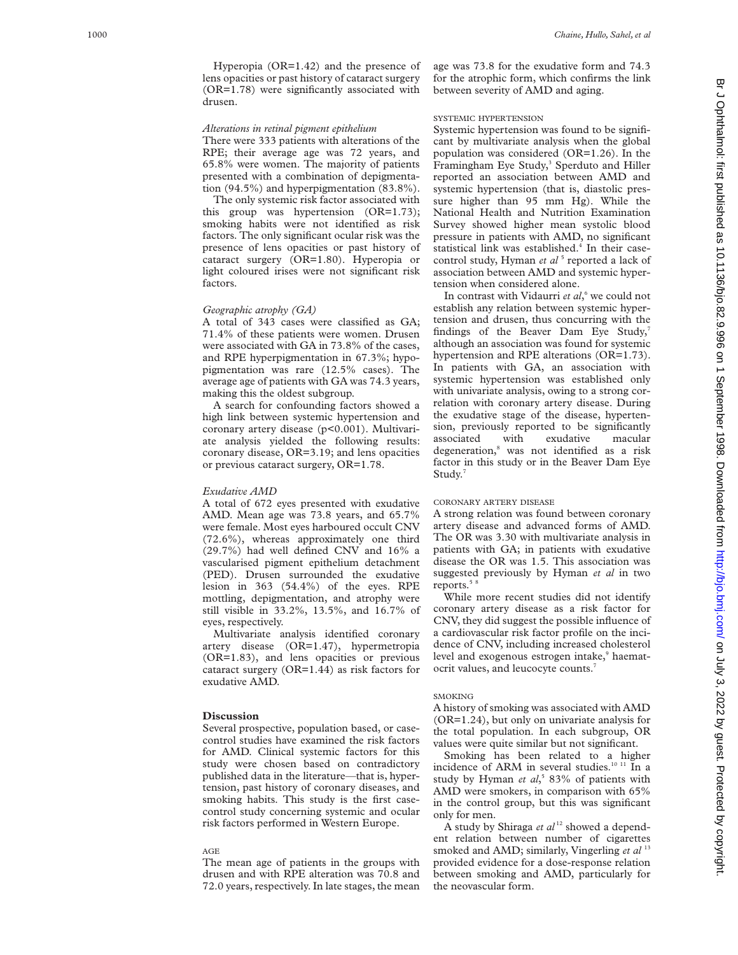Hyperopia (OR=1.42) and the presence of lens opacities or past history of cataract surgery (OR=1.78) were significantly associated with drusen.

#### *Alterations in retinal pigment epithelium*

There were 333 patients with alterations of the RPE; their average age was 72 years, and 65.8% were women. The majority of patients presented with a combination of depigmentation (94.5%) and hyperpigmentation (83.8%).

The only systemic risk factor associated with this group was hypertension (OR=1.73); smoking habits were not identified as risk factors. The only significant ocular risk was the presence of lens opacities or past history of cataract surgery (OR=1.80). Hyperopia or light coloured irises were not significant risk factors.

#### *Geographic atrophy (GA)*

A total of 343 cases were classified as GA; 71.4% of these patients were women. Drusen were associated with GA in 73.8% of the cases, and RPE hyperpigmentation in 67.3%; hypopigmentation was rare (12.5% cases). The average age of patients with GA was 74.3 years, making this the oldest subgroup.

A search for confounding factors showed a high link between systemic hypertension and coronary artery disease (p<0.001). Multivariate analysis yielded the following results: coronary disease, OR=3.19; and lens opacities or previous cataract surgery, OR=1.78.

### *Exudative AMD*

A total of 672 eyes presented with exudative AMD. Mean age was 73.8 years, and 65.7% were female. Most eyes harboured occult CNV (72.6%), whereas approximately one third (29.7%) had well defined CNV and 16% a vascularised pigment epithelium detachment (PED). Drusen surrounded the exudative lesion in 363 (54.4%) of the eyes. RPE mottling, depigmentation, and atrophy were still visible in 33.2%, 13.5%, and 16.7% of eyes, respectively.

Multivariate analysis identified coronary artery disease (OR=1.47), hypermetropia (OR=1.83), and lens opacities or previous cataract surgery (OR=1.44) as risk factors for exudative AMD.

### **Discussion**

Several prospective, population based, or casecontrol studies have examined the risk factors for AMD. Clinical systemic factors for this study were chosen based on contradictory published data in the literature—that is, hypertension, past history of coronary diseases, and smoking habits. This study is the first casecontrol study concerning systemic and ocular risk factors performed in Western Europe.

### AGE

The mean age of patients in the groups with drusen and with RPE alteration was 70.8 and 72.0 years, respectively. In late stages, the mean age was 73.8 for the exudative form and 74.3 for the atrophic form, which confirms the link between severity of AMD and aging.

# SYSTEMIC HYPERTENSION

Systemic hypertension was found to be significant by multivariate analysis when the global population was considered (OR=1.26). In the Framingham Eye Study, <sup>3</sup> Sperduto and Hiller reported an association between AMD and systemic hypertension (that is, diastolic pressure higher than 95 mm Hg). While the National Health and Nutrition Examination Survey showed higher mean systolic blood pressure in patients with AMD, no significant statistical link was established. <sup>4</sup> In their casecontrol study, Hyman *et al*<sup>5</sup> reported a lack of association between AMD and systemic hypertension when considered alone.

In contrast with Vidaurri *et al*, <sup>6</sup> we could not establish any relation between systemic hypertension and drusen, thus concurring with the findings of the Beaver Dam Eye Study,<sup>7</sup> although an association was found for systemic hypertension and RPE alterations (OR=1.73). In patients with GA, an association with systemic hypertension was established only with univariate analysis, owing to a strong correlation with coronary artery disease. During the exudative stage of the disease, hypertension, previously reported to be significantly associated with exudative macular degeneration, <sup>8</sup> was not identified as a risk factor in this study or in the Beaver Dam Eye Study. 7

# CORONARY ARTERY DISEASE

A strong relation was found between coronary artery disease and advanced forms of AMD. The OR was 3.30 with multivariate analysis in patients with GA; in patients with exudative disease the OR was 1.5. This association was suggested previously by Hyman *et al* in two reports. $5$ 

While more recent studies did not identify coronary artery disease as a risk factor for CNV, they did suggest the possible influence of a cardiovascular risk factor profile on the incidence of CNV, including increased cholesterol level and exogenous estrogen intake, <sup>9</sup> haematocrit values, and leucocyte counts.<sup>7</sup>

# SMOKING

A history of smoking was associated with AMD (OR=1.24), but only on univariate analysis for the total population. In each subgroup, OR values were quite similar but not significant.

Smoking has been related to a higher incidence of ARM in several studies.<sup>10 11</sup> In a study by Hyman *et al*, <sup>5</sup> 83% of patients with AMD were smokers, in comparison with 65% in the control group, but this was significant only for men.

A study by Shiraga *et al* <sup>12</sup> showed a dependent relation between number of cigarettes smoked and AMD; similarly, Vingerling *et al*<sup>13</sup> provided evidence for a dose-response relation between smoking and AMD, particularly for the neovascular form.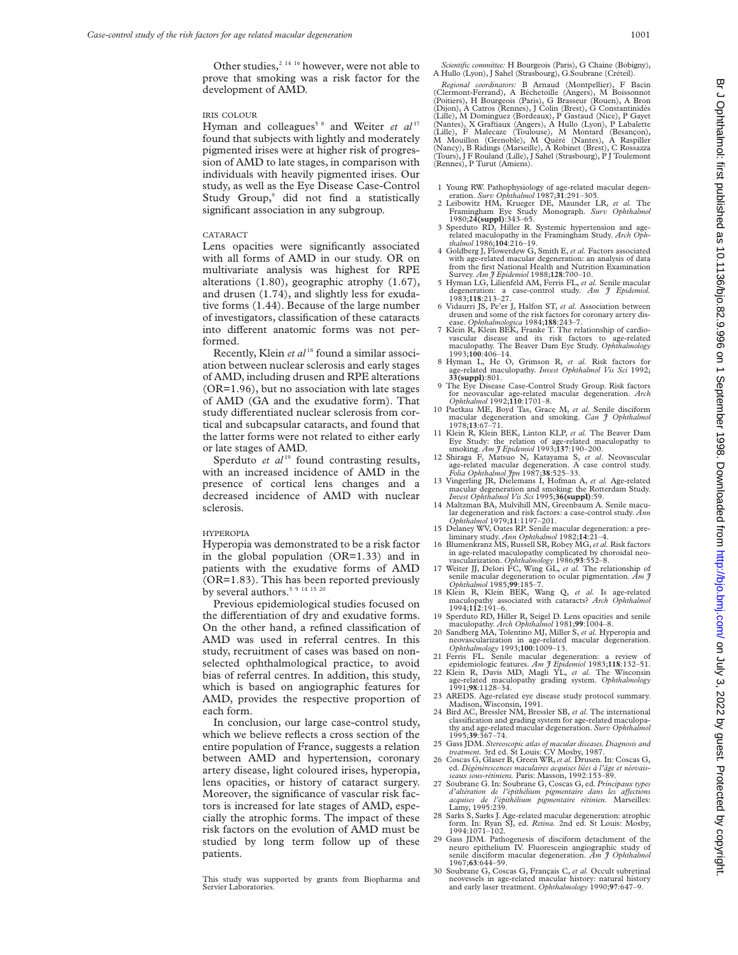Other studies, $2^{14}$  16 however, were not able to prove that smoking was a risk factor for the development of AMD.

# IRIS COLOUR

Hyman and colleagues<sup>58</sup> and Weiter et al<sup>17</sup> found that subjects with lightly and moderately pigmented irises were at higher risk of progression of AMD to late stages, in comparison with individuals with heavily pigmented irises. Our study, as well as the Eye Disease Case-Control Study Group,<sup>9</sup> did not find a statistically significant association in any subgroup.

#### CATARACT

Lens opacities were significantly associated with all forms of AMD in our study. OR on multivariate analysis was highest for RPE alterations (1.80), geographic atrophy (1.67), and drusen (1.74), and slightly less for exudative forms (1.44). Because of the large number of investigators, classification of these cataracts into different anatomic forms was not performed.

Recently, Klein et al<sup>18</sup> found a similar association between nuclear sclerosis and early stages of AMD, including drusen and RPE alterations (OR=1.96), but no association with late stages of AMD (GA and the exudative form). That study differentiated nuclear sclerosis from cortical and subcapsular cataracts, and found that the latter forms were not related to either early or late stages of AMD.

Sperduto *et al*<sup>19</sup> found contrasting results, with an increased incidence of AMD in the presence of cortical lens changes and a decreased incidence of AMD with nuclear sclerosis.

#### HYPEROPIA

Hyperopia was demonstrated to be a risk factor in the global population (OR=1.33) and in patients with the exudative forms of AMD (OR=1.83). This has been reported previously by several authors.<sup>5 9 14 15 20</sup>

Previous epidemiological studies focused on the differentiation of dry and exudative forms. On the other hand, a refined classification of AMD was used in referral centres. In this study, recruitment of cases was based on nonselected ophthalmological practice, to avoid bias of referral centres. In addition, this study, which is based on angiographic features for AMD, provides the respective proportion of each form.

In conclusion, our large case-control study, which we believe reflects a cross section of the entire population of France, suggests a relation between AMD and hypertension, coronary artery disease, light coloured irises, hyperopia, lens opacities, or history of cataract surgery. Moreover, the significance of vascular risk factors is increased for late stages of AMD, especially the atrophic forms. The impact of these risk factors on the evolution of AMD must be studied by long term follow up of these patients.

This study was supported by grants from Biopharma and Servier Laboratories.

*Scientific committee:* H Bourgeois (Paris), G Chaine (Bobigny), A Hullo (Lyon), J Sahel (Strasbourg), G.Soubrane (Créteil).

Regional coordinators: B Arnaud (Montpellier), F Bacin<br>(Clermont-Ferrand), A Béchetoille (Angers), M Boissonnot<br>(Poitiers), H Bourgeois (Paris), G Brasseur (Rouen), A Bron<br>(Dijon), A Catros (Rennes), J Colin (Brest), G Con (Lille), M Dominguez (Bordeaux), P Gastaud (Nice), P Gayet<br>(Nantes), X Graftiaux (Angers), A Hullo (Lyon), P Labalette<br>(Lille), F Malecaze (Toulouse), M Montard (Besançon),<br>M Mouillon (Grenoble), M Quéré (Nantes), A Raspil (Nancy), B Ridings (Marseille), A Robinet (Brest), C Rossazza (Tours), J F Rouland (Lille), J Sahel (Strasbourg), P J Toulemont (Rennes), P Turut (Amiens).

- 1 Young RW. Pathophysiology of age-related macular degen-eration. *Surv Ophthalmol* 1987;**31**:291–305. 2 Leibowitz HM, Krueger DE, Maunder LR, *et al.* The
- Framingham Eye Study Monograph. *Surv Ophthalmol*<br>1980;24(suppl):343–65.<br>3 Sperduto RD, Hiller R. Systemic hypertension and age-
- 3 Sperduto RD, Hiller R. Systemic hypertension and age-<br>related maculopathy in the Framingham Study. Arch Oph*thalmol* 1986;**104**:216–19.
- 4 Goldberg J, Flowerdew G, Smith E, *et al.* Factors associated with age-related macular degeneration: an analysis of data from the first National Health and Nutrition Examination Survey. *Am J Epidemiol* 1988;**128**:700–10.
- 5 Hyman LG, Lilienfeld AM, Ferris FL, *et al.* Senile macular degeneration: a case-control study. *Am J Epidemiol.*
- 1983;**118**:213–27. 6 Vidaurri JS, Pe'er J, Halfon ST, *et al.* Association between drusen and some of the risk factors for coronary artery dis-ease. *Ophthalmologica* 1984;**188**:243–7.
- 7 Klein R, Klein BEK, Franke T. The relationship of cardiovascular disease and its risk factors to age-related maculopathy. The Beaver Dam Eye Study. *Ophthalmology*
- 1993;**100**:406–14. 8 Hyman L, He O, Grimson R, *et al.* Risk factors for age-related maculopathy. *Invest Ophthalmol Vis Sci* 1992;
- **33(suppl)**:801. 9 The Eye Disease Case-Control Study Group. Risk factors for neovascular age-related macular degeneration. *Arch*
- *Ophthalmol* 1992;**110**:1701–8. 10 Paetkau ME, Boyd Tas, Grace M, *et al.* Senile disciform macular degeneration and smoking. *Can J Ophthalmol* 1978;**13**:67–71.
- 11 Klein R, Klein BEK, Linton KLP, *et al.* The Beaver Dam Eye Study: the relation of age-related maculopathy to smoking. *Am J Epidemiol* 1993;**137**:190–200.
- 12 Shiraga F, Matsuo N, Katayama S, *et al*. Neovascular age-related macular degeneration. A case control study. *Folia Ophthalmol Jpn* 1987;**38**:525–33.
- 13 Vingerling JR, Dielemans I, Hofman A, *et al.* Age-related macular degeneration and smoking: the Rotterdam Study. *Invest Ophthalmol Vis Sci* 1995;**36(suppl)**:59.
- 14 Maltzman BA, Mulvihill MN, Greenbaum A. Senile macular degeneration and risk factors: a case-control study. *Ann Ophthalmol* 1979;**11**:1197–201.
- 15 Delaney WV, Oates RP. Senile macular degeneration: a pre-
- liminary study. *Ann Ophthalmol* 1982;**14**:21–4. 16 Blumenkranz MS, Russell SR, Robey MG,*et al.* Risk factors in age-related maculopathy complicated by choroidal neo-vascularization. *Ophthalmology* 1986;**93**:552–8.
- 17 Weiter JJ, Delori FC, Wing GL, *et al.* The relationship of senile macular degeneration to ocular pigmentation. *Am J Ophthalmol* 1985;**99**:185–7.
- 18 Klein R, Klein BEK, Wang Q, *et al.* Is age-related maculopathy associated with cataracts? *Arch Ophthalmol* 1994;**112**:191–6.
- 19 Sperduto RD, Hiller R, Seigel D. Lens opacities and senile maculopathy. *Arch Ophthalmol* 1981;**99**:1004–8.
- 20 Sandberg MA, Tolentino MJ, Miller S, *et al.* Hyperopia and neovascularization in age-related macular degeneration. *Ophthalmology* 1993;**100**:1009–13.
- 21 Ferris FL. Senile macular degeneration: a review of epidemiologic features. *Am J Epidemiol* 1983;**118**:132–51. 22 Klein R, Davis MD, Magli YL, *et al.* The Wisconsin
- age-related maculopathy grading system. *Ophthalmology* 1991;**98**:1128–34.
- 23 AREDS. Age-related eye disease study protocol summary. Madison, Wisconsin, 1991.
- 24 Bird AC, Bressler NM, Bressler SB, *et al*. The international classification and grading system for age-related maculopathy and age-related macular degeneration. *Surv Ophthalmol* 1995;**39**:367–74.
- 25 Gass JDM. *Stereoscopic atlas of macular diseases.Diagnosis and treatment.* 3rd ed. St Louis: CV Mosby, 1987.
- 26 Coscas G, Glaser B, Green WR,*et al.* Drusen. In: Coscas G, ed. *Dégénérescences maculaires acquises liées à l'âge et néovaisseaux sous-rétiniens.* Paris: Masson, 1992:153–89.
- 27 Soubrane G. In: Soubrane G, Coscas G, ed. *Principaux types d'altération de l'épithélium pigmentaire dans les aVections acquises de l'épithélium pigmentaire rétinien.* Marseilles: Lamy, 1995:239.
- 28 Sarks S, Sarks J. Age-related macular degeneration: atrophic form. In: Ryan SJ, ed. *Retina.* 2nd ed. St Louis: Mosby, 1994:1071–102.
- 29 Gass JDM. Pathogenesis of disciform detachment of the neuro epithelium IV. Fluorescein angiographic study of senile disciform macular degeneration. *Am J Ophthalmol* 1967;**63**:644–59.
- 30 Soubrane G, Coscas G, Français C, *et al.* Occult subretinal neovessels in age-related macular history: natural history and early laser treatment. *Ophthalmology* 1990;**97**:647–9.